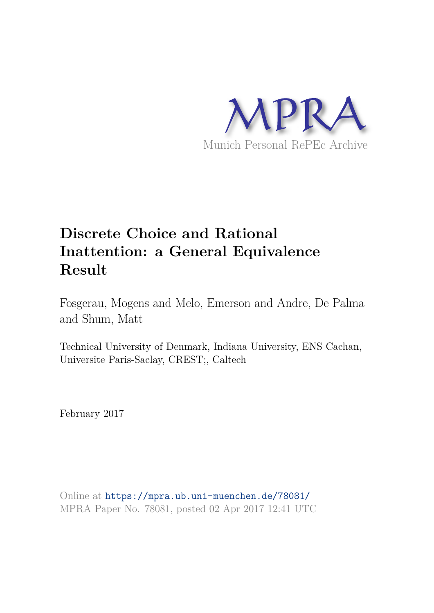

# **Discrete Choice and Rational Inattention: a General Equivalence Result**

Fosgerau, Mogens and Melo, Emerson and Andre, De Palma and Shum, Matt

Technical University of Denmark, Indiana University, ENS Cachan, Universite Paris-Saclay, CREST;, Caltech

February 2017

Online at https://mpra.ub.uni-muenchen.de/78081/ MPRA Paper No. 78081, posted 02 Apr 2017 12:41 UTC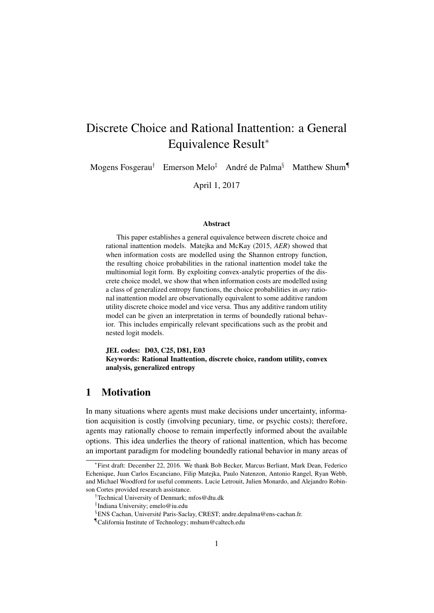## Discrete Choice and Rational Inattention: a General Equivalence Result<sup>∗</sup>

Mogens Fosgerau<sup>†</sup> Emerson Melo<sup>‡</sup> André de Palma<sup>§</sup> Matthew Shum<sup>¶</sup>

April 1, 2017

#### Abstract

This paper establishes a general equivalence between discrete choice and rational inattention models. Matejka and McKay (2015, *AER*) showed that when information costs are modelled using the Shannon entropy function, the resulting choice probabilities in the rational inattention model take the multinomial logit form. By exploiting convex-analytic properties of the discrete choice model, we show that when information costs are modelled using a class of generalized entropy functions, the choice probabilities in *any* rational inattention model are observationally equivalent to some additive random utility discrete choice model and vice versa. Thus any additive random utility model can be given an interpretation in terms of boundedly rational behavior. This includes empirically relevant specifications such as the probit and nested logit models.

JEL codes: D03, C25, D81, E03 Keywords: Rational Inattention, discrete choice, random utility, convex analysis, generalized entropy

## 1 Motivation

In many situations where agents must make decisions under uncertainty, information acquisition is costly (involving pecuniary, time, or psychic costs); therefore, agents may rationally choose to remain imperfectly informed about the available options. This idea underlies the theory of rational inattention, which has become an important paradigm for modeling boundedly rational behavior in many areas of

<sup>∗</sup> First draft: December 22, 2016. We thank Bob Becker, Marcus Berliant, Mark Dean, Federico Echenique, Juan Carlos Escanciano, Filip Matejka, Paulo Natenzon, Antonio Rangel, Ryan Webb, and Michael Woodford for useful comments. Lucie Letrouit, Julien Monardo, and Alejandro Robinson Cortes provided research assistance.

<sup>†</sup>Technical University of Denmark; mfos@dtu.dk

<sup>‡</sup> Indiana University; emelo@iu.edu

<sup>§</sup>ENS Cachan, Université Paris-Saclay, CREST; andre.depalma@ens-cachan.fr.

<sup>¶</sup>California Institute of Technology; mshum@caltech.edu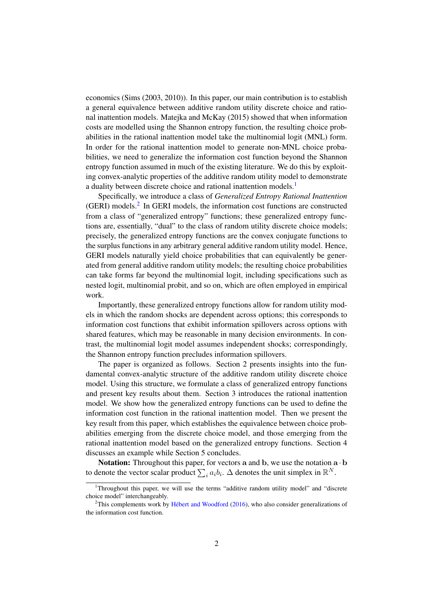economics (Sims (2003, 2010)). In this paper, our main contribution is to establish a general equivalence between additive random utility discrete choice and rational inattention models. Matejka and McKay (2015) showed that when information costs are modelled using the Shannon entropy function, the resulting choice probabilities in the rational inattention model take the multinomial logit (MNL) form. In order for the rational inattention model to generate non-MNL choice probabilities, we need to generalize the information cost function beyond the Shannon entropy function assumed in much of the existing literature. We do this by exploiting convex-analytic properties of the additive random utility model to demonstrate a duality between discrete choice and rational inattention models.<sup>1</sup>

Specifically, we introduce a class of *Generalized Entropy Rational Inattention* (GERI) models.<sup>2</sup> In GERI models, the information cost functions are constructed from a class of "generalized entropy" functions; these generalized entropy functions are, essentially, "dual" to the class of random utility discrete choice models; precisely, the generalized entropy functions are the convex conjugate functions to the surplus functions in any arbitrary general additive random utility model. Hence, GERI models naturally yield choice probabilities that can equivalently be generated from general additive random utility models; the resulting choice probabilities can take forms far beyond the multinomial logit, including specifications such as nested logit, multinomial probit, and so on, which are often employed in empirical work.

Importantly, these generalized entropy functions allow for random utility models in which the random shocks are dependent across options; this corresponds to information cost functions that exhibit information spillovers across options with shared features, which may be reasonable in many decision environments. In contrast, the multinomial logit model assumes independent shocks; correspondingly, the Shannon entropy function precludes information spillovers.

The paper is organized as follows. Section 2 presents insights into the fundamental convex-analytic structure of the additive random utility discrete choice model. Using this structure, we formulate a class of generalized entropy functions and present key results about them. Section 3 introduces the rational inattention model. We show how the generalized entropy functions can be used to define the information cost function in the rational inattention model. Then we present the key result from this paper, which establishes the equivalence between choice probabilities emerging from the discrete choice model, and those emerging from the rational inattention model based on the generalized entropy functions. Section 4 discusses an example while Section 5 concludes.

Notation: Throughout this paper, for vectors a and b, we use the notation  $\mathbf{a} \cdot \mathbf{b}$ to denote the vector scalar product  $\sum_i a_i b_i$ .  $\Delta$  denotes the unit simplex in  $\mathbb{R}^N$ .

<sup>1</sup>Throughout this paper, we will use the terms "additive random utility model" and "discrete choice model" interchangeably.

<sup>&</sup>lt;sup>2</sup>This complements work by Hébert and Woodford  $(2016)$ , who also consider generalizations of the information cost function.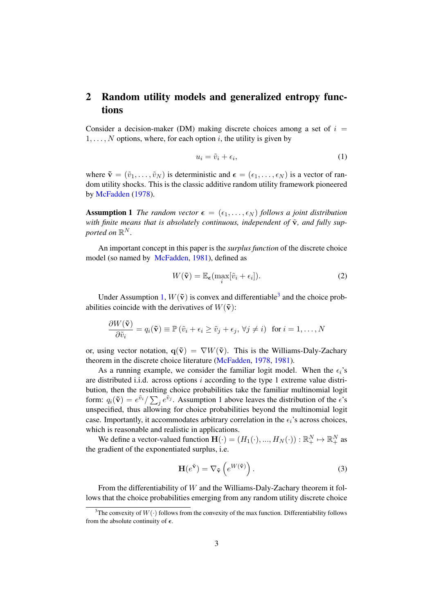## 2 Random utility models and generalized entropy functions

Consider a decision-maker (DM) making discrete choices among a set of  $i =$  $1, \ldots, N$  options, where, for each option i, the utility is given by

$$
u_i = \tilde{v}_i + \epsilon_i,\tag{1}
$$

where  $\tilde{\mathbf{v}} = (\tilde{v}_1, \dots, \tilde{v}_N)$  is deterministic and  $\boldsymbol{\epsilon} = (\epsilon_1, \dots, \epsilon_N)$  is a vector of random utility shocks. This is the classic additive random utility framework pioneered by McFadden (1978).

**Assumption 1** *The random vector*  $\boldsymbol{\epsilon} = (\epsilon_1, \ldots, \epsilon_N)$  *follows a joint distribution with finite means that is absolutely continuous, independent of*  $\tilde{\mathbf{v}}$ *, and fully sup*ported on  $\mathbb{R}^N$ .

An important concept in this paper is the *surplus function* of the discrete choice model (so named by McFadden, 1981), defined as

$$
W(\tilde{\mathbf{v}}) = \mathbb{E}_{\epsilon}(\max_{i} [\tilde{v}_i + \epsilon_i]).
$$
 (2)

Under Assumption 1,  $W(\tilde{v})$  is convex and differentiable<sup>3</sup> and the choice probabilities coincide with the derivatives of  $W(\tilde{v})$ :

$$
\frac{\partial W(\tilde{\mathbf{v}})}{\partial \tilde{v}_i} = q_i(\tilde{\mathbf{v}}) \equiv \mathbb{P}(\tilde{v}_i + \epsilon_i \ge \tilde{v}_j + \epsilon_j, \forall j \ne i) \text{ for } i = 1, ..., N
$$

or, using vector notation,  $q(\tilde{v}) = \nabla W(\tilde{v})$ . This is the Williams-Daly-Zachary theorem in the discrete choice literature (McFadden, 1978, 1981).

As a running example, we consider the familiar logit model. When the  $\epsilon_i$ 's are distributed i.i.d. across options  $i$  according to the type 1 extreme value distribution, then the resulting choice probabilities take the familiar multinomial logit form:  $q_i(\tilde{\mathbf{v}}) = e^{\tilde{v}_i}/\sum_j e^{\tilde{v}_j}$ . Assumption 1 above leaves the distribution of the  $\epsilon$ 's unspecified, thus allowing for choice probabilities beyond the multinomial logit case. Importantly, it accommodates arbitrary correlation in the  $\epsilon_i$ 's across choices, which is reasonable and realistic in applications.

We define a vector-valued function  $\mathbf{H}(\cdot) = (H_1(\cdot), ..., H_N(\cdot)) : \mathbb{R}^N_+ \mapsto \mathbb{R}^N_+$  as the gradient of the exponentiated surplus, i.e.

$$
\mathbf{H}(e^{\tilde{\mathbf{v}}}) = \nabla_{\tilde{\mathbf{v}}}\left(e^{W(\tilde{\mathbf{v}})}\right).
$$
 (3)

From the differentiability of W and the Williams-Daly-Zachary theorem it follows that the choice probabilities emerging from any random utility discrete choice

<sup>&</sup>lt;sup>3</sup>The convexity of  $W(\cdot)$  follows from the convexity of the max function. Differentiability follows from the absolute continuity of  $\epsilon$ .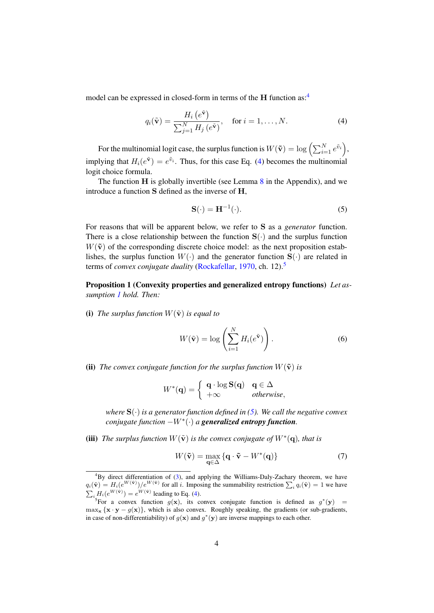model can be expressed in closed-form in terms of the H function as:<sup>4</sup>

$$
q_i(\tilde{\mathbf{v}}) = \frac{H_i\left(e^{\tilde{\mathbf{v}}}\right)}{\sum_{j=1}^N H_j\left(e^{\tilde{\mathbf{v}}}\right)}, \quad \text{for } i = 1, \dots, N. \tag{4}
$$

For the multinomial logit case, the surplus function is  $W(\tilde{\mathbf{v}}) = \log \left( \sum_{i=1}^N e^{\tilde{v}_i} \right)$ , implying that  $H_i(e^{\tilde{\mathbf{v}}}) = e^{\tilde{v}_i}$ . Thus, for this case Eq. (4) becomes the multinomial logit choice formula.

The function  $H$  is globally invertible (see Lemma  $8$  in the Appendix), and we introduce a function S defined as the inverse of H,

$$
\mathbf{S}(\cdot) = \mathbf{H}^{-1}(\cdot). \tag{5}
$$

For reasons that will be apparent below, we refer to S as a *generator* function. There is a close relationship between the function  $S(\cdot)$  and the surplus function  $W(\tilde{\mathbf{v}})$  of the corresponding discrete choice model: as the next proposition establishes, the surplus function  $W(\cdot)$  and the generator function  $S(\cdot)$  are related in terms of *convex conjugate duality* (Rockafellar, 1970, ch. 12).<sup>5</sup>

Proposition 1 (Convexity properties and generalized entropy functions) *Let assumption 1 hold. Then:*

(i) The surplus function  $W(\tilde{\mathbf{v}})$  is equal to

$$
W(\tilde{\mathbf{v}}) = \log \left( \sum_{i=1}^{N} H_i(e^{\tilde{\mathbf{v}}}) \right).
$$
 (6)

(ii) *The convex conjugate function for the surplus function*  $W(\tilde{\mathbf{v}})$  *is* 

$$
W^*(\mathbf{q}) = \left\{ \begin{array}{ll} \mathbf{q} \cdot \log \mathbf{S}(\mathbf{q}) & \mathbf{q} \in \Delta \\ +\infty & otherwise, \end{array} \right.
$$

*where*  $S(\cdot)$  *is a generator function defined in (5). We call the negative convex conjugate function* −W<sup>∗</sup> (·) *a generalized entropy function.*

(iii) *The surplus function*  $W(\tilde{v})$  *is the convex conjugate of*  $W^*(q)$ *, that is* 

$$
W(\tilde{\mathbf{v}}) = \max_{\mathbf{q} \in \Delta} \{ \mathbf{q} \cdot \tilde{\mathbf{v}} - W^*(\mathbf{q}) \}
$$
(7)

<sup>&</sup>lt;sup>4</sup>By direct differentiation of (3), and applying the Williams-Daly-Zachary theorem, we have  $q_i(\tilde{\mathbf{v}}) = H_i(e^{W(\tilde{\mathbf{v}})})/e^{W(\tilde{\mathbf{v}})}$  for all i. Imposing the summability restriction  $\sum_i q_i(\tilde{\mathbf{v}}) = 1$  we have  $\sum_i H_i(e^{W(\tilde{\mathbf{v}})}) = e^{W(\tilde{\mathbf{v}})}$  leading to Eq. (4).<br>
<sup>5</sup>For a convex function  $g(\mathbf{x})$ , its convex conjugate function is defined as  $g^*(\mathbf{y}) =$ 

 $\max_{\mathbf{x}} {\mathbf{x} \cdot \mathbf{y} - g(\mathbf{x})}$ , which is also convex. Roughly speaking, the gradients (or sub-gradients, in case of non-differentiability) of  $g(x)$  and  $g^*(y)$  are inverse mappings to each other.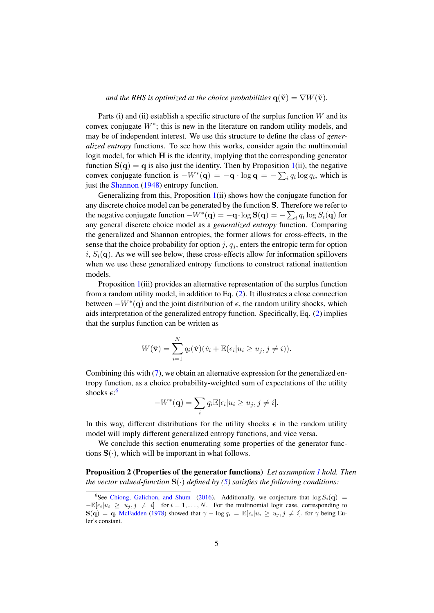*and the RHS is optimized at the choice probabilities*  $q(\tilde{v}) = \nabla W(\tilde{v})$ *.* 

Parts (i) and (ii) establish a specific structure of the surplus function  $W$  and its convex conjugate  $W^*$ ; this is new in the literature on random utility models, and may be of independent interest. We use this structure to define the class of *generalized entropy* functions. To see how this works, consider again the multinomial logit model, for which H is the identity, implying that the corresponding generator function  $S(q) = q$  is also just the identity. Then by Proposition 1(ii), the negative convex conjugate function is  $-W^*(\mathbf{q}) = -\mathbf{q} \cdot \log \mathbf{q} = -\sum_i q_i \log q_i$ , which is just the Shannon (1948) entropy function.

Generalizing from this, Proposition 1(ii) shows how the conjugate function for any discrete choice model can be generated by the function S. Therefore we refer to the negative conjugate function  $-W^*(\mathbf{q}) = -\mathbf{q} \cdot \log \mathbf{S}(\mathbf{q}) = -\sum_i q_i \log S_i(\mathbf{q})$  for any general discrete choice model as a *generalized entropy* function. Comparing the generalized and Shannon entropies, the former allows for cross-effects, in the sense that the choice probability for option j,  $q<sub>j</sub>$ , enters the entropic term for option  $i, S_i(q)$ . As we will see below, these cross-effects allow for information spillovers when we use these generalized entropy functions to construct rational inattention models.

Proposition 1(iii) provides an alternative representation of the surplus function from a random utility model, in addition to Eq. (2). It illustrates a close connection between  $-W^*(q)$  and the joint distribution of  $\epsilon$ , the random utility shocks, which aids interpretation of the generalized entropy function. Specifically, Eq. (2) implies that the surplus function can be written as

$$
W(\tilde{\mathbf{v}}) = \sum_{i=1}^{N} q_i(\tilde{\mathbf{v}})(\tilde{v}_i + \mathbb{E}(\epsilon_i | u_i \ge u_j, j \ne i)).
$$

Combining this with (7), we obtain an alternative expression for the generalized entropy function, as a choice probability-weighted sum of expectations of the utility shocks  $\epsilon$ :<sup>6</sup>

$$
-W^*(\mathbf{q}) = \sum_i q_i \mathbb{E}[\epsilon_i | u_i \ge u_j, j \ne i].
$$

In this way, different distributions for the utility shocks  $\epsilon$  in the random utility model will imply different generalized entropy functions, and vice versa.

We conclude this section enumerating some properties of the generator functions  $S(\cdot)$ , which will be important in what follows.

Proposition 2 (Properties of the generator functions) *Let assumption 1 hold. Then the vector valued-function*  $S(\cdot)$  *defined by (5) satisfies the following conditions:* 

<sup>&</sup>lt;sup>6</sup>See Chiong, Galichon, and Shum (2016). Additionally, we conjecture that  $\log S_i(q)$  $-\mathbb{E}[\epsilon_i|u_i \ge u_j, j \ne i]$  for  $i = 1, ..., N$ . For the multinomial logit case, corresponding to  $S(q) = q$ , McFadden (1978) showed that  $\gamma - \log q_i = \mathbb{E}[\epsilon_i | u_i \ge u_j, j \ne i]$ , for  $\gamma$  being Euler's constant.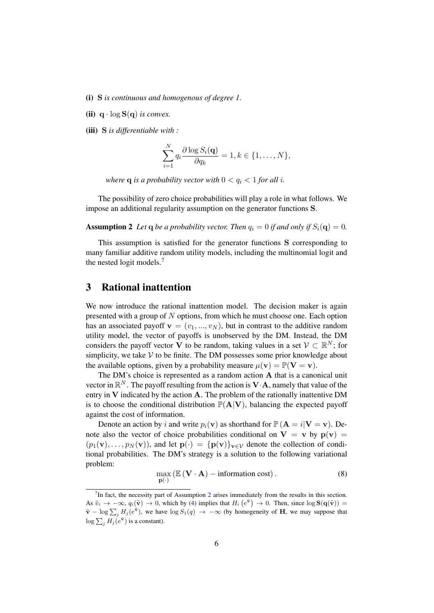- (i) S *is continuous and homogenous of degree 1.*
- (ii)  $q \cdot \log S(q)$  *is convex.*
- (iii) S *is differentiable with :*

$$
\sum_{i=1}^{N} q_i \frac{\partial \log S_i(\mathbf{q})}{\partial q_k} = 1, k \in \{1, \dots, N\},\
$$

*where* **q** *is a probability vector with*  $0 < q_i < 1$  *for all i.* 

The possibility of zero choice probabilities will play a role in what follows. We impose an additional regularity assumption on the generator functions S.

**Assumption 2** Let **q** be a probability vector. Then  $q_i = 0$  if and only if  $S_i(\mathbf{q}) = 0$ .

This assumption is satisfied for the generator functions S corresponding to many familiar additive random utility models, including the multinomial logit and the nested logit models.<sup>7</sup>

## 3 Rational inattention

We now introduce the rational inattention model. The decision maker is again presented with a group of  $N$  options, from which he must choose one. Each option has an associated payoff  $\mathbf{v} = (v_1, ..., v_N)$ , but in contrast to the additive random utility model, the vector of payoffs is unobserved by the DM. Instead, the DM considers the payoff vector V to be random, taking values in a set  $V \subset \mathbb{R}^N$ ; for simplicity, we take  $V$  to be finite. The DM possesses some prior knowledge about the available options, given by a probability measure  $\mu(\mathbf{v}) = \mathbb{P}(\mathbf{V} = \mathbf{v})$ .

The DM's choice is represented as a random action A that is a canonical unit vector in  $\mathbb{R}^N$ . The payoff resulting from the action is  $V \cdot A$ , namely that value of the entry in V indicated by the action A. The problem of the rationally inattentive DM is to choose the conditional distribution  $\mathbb{P}(A|V)$ , balancing the expected payoff against the cost of information.

Denote an action by i and write  $p_i(\mathbf{v})$  as shorthand for  $\mathbb{P}(\mathbf{A} = i|\mathbf{V} = \mathbf{v})$ . Denote also the vector of choice probabilities conditional on  $V = v$  by  $p(v) =$  $(p_1(\mathbf{v}), \ldots, p_N(\mathbf{v}))$ , and let  $\mathbf{p}(\cdot) = {\{\mathbf{p}(\mathbf{v})\}}_{\mathbf{v}\in\mathcal{V}}$  denote the collection of conditional probabilities. The DM's strategy is a solution to the following variational problem:

$$
\max_{\mathbf{p}(\cdot)} \left( \mathbb{E}\left(\mathbf{V} \cdot \mathbf{A}\right) - \text{information cost} \right). \tag{8}
$$

 $<sup>7</sup>$ In fact, the necessity part of Assumption 2 arises immediately from the results in this section.</sup> As  $\tilde{v}_i \to -\infty$ ,  $q_i(\tilde{v}) \to 0$ , which by (4) implies that  $H_i(e^{\tilde{v}}) \to 0$ . Then, since  $\log S(q(\tilde{v})) =$  $\tilde{\mathbf{v}} - \log \sum_{j} H_j(e^{\tilde{\mathbf{v}}})$ , we have  $\log S_1(q) \to -\infty$  (by homogeneity of **H**, we may suppose that  $\log \sum_j H_j(e^{\tilde{\mathbf{v}}})$  is a constant).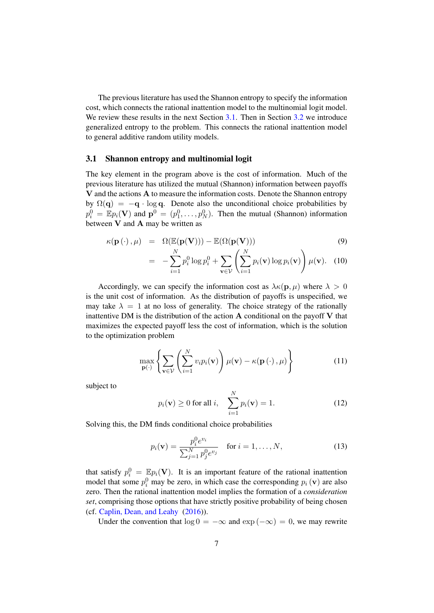The previous literature has used the Shannon entropy to specify the information cost, which connects the rational inattention model to the multinomial logit model. We review these results in the next Section 3.1. Then in Section 3.2 we introduce generalized entropy to the problem. This connects the rational inattention model to general additive random utility models.

#### 3.1 Shannon entropy and multinomial logit

The key element in the program above is the cost of information. Much of the previous literature has utilized the mutual (Shannon) information between payoffs V and the actions A to measure the information costs. Denote the Shannon entropy by  $\Omega(q) = -q \cdot \log q$ . Denote also the unconditional choice probabilities by  $p_i^0 = \mathbb{E} p_i(\mathbf{V})$  and  $\mathbf{p}^0 = (p_1^0, \dots, p_N^0)$ . Then the mutual (Shannon) information between  $V$  and  $A$  may be written as

$$
\kappa(\mathbf{p}(\cdot), \mu) = \Omega(\mathbb{E}(\mathbf{p}(\mathbf{V}))) - \mathbb{E}(\Omega(\mathbf{p}(\mathbf{V})))
$$
(9)  

$$
= -\sum_{i=1}^{N} p_i^0 \log p_i^0 + \sum_{\mathbf{v} \in \mathcal{V}} \left( \sum_{i=1}^{N} p_i(\mathbf{v}) \log p_i(\mathbf{v}) \right) \mu(\mathbf{v}).
$$
(10)

Accordingly, we can specify the information cost as  $\lambda \kappa(\mathbf{p}, \mu)$  where  $\lambda > 0$ is the unit cost of information. As the distribution of payoffs is unspecified, we may take  $\lambda = 1$  at no loss of generality. The choice strategy of the rationally inattentive DM is the distribution of the action  $A$  conditional on the payoff  $V$  that maximizes the expected payoff less the cost of information, which is the solution to the optimization problem

$$
\max_{\mathbf{p}(\cdot)} \left\{ \sum_{\mathbf{v} \in \mathcal{V}} \left( \sum_{i=1}^N v_i p_i(\mathbf{v}) \right) \mu(\mathbf{v}) - \kappa(\mathbf{p}(\cdot), \mu) \right\}
$$
(11)

subject to

$$
p_i(\mathbf{v}) \ge 0 \text{ for all } i, \quad \sum_{i=1}^N p_i(\mathbf{v}) = 1.
$$
 (12)

Solving this, the DM finds conditional choice probabilities

$$
p_i(\mathbf{v}) = \frac{p_i^0 e^{v_i}}{\sum_{j=1}^N p_j^0 e^{v_j}} \quad \text{for } i = 1, ..., N,
$$
 (13)

that satisfy  $p_i^0 = \mathbb{E} p_i(\mathbf{V})$ . It is an important feature of the rational inattention model that some  $p_i^0$  may be zero, in which case the corresponding  $p_i(\mathbf{v})$  are also zero. Then the rational inattention model implies the formation of a *consideration set*, comprising those options that have strictly positive probability of being chosen (cf. Caplin, Dean, and Leahy (2016)).

Under the convention that  $\log 0 = -\infty$  and  $\exp(-\infty) = 0$ , we may rewrite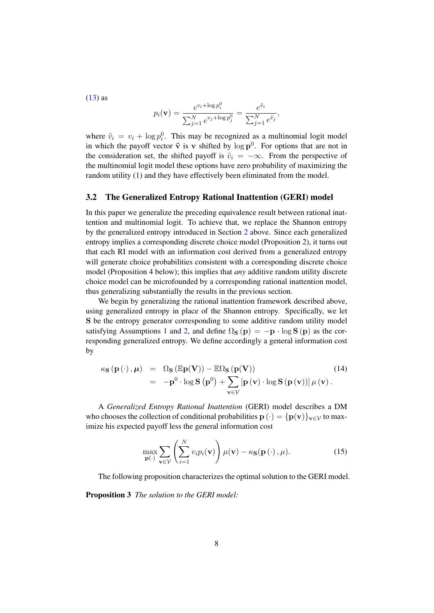$(13)$  as

$$
p_i(\mathbf{v}) = \frac{e^{v_i + \log p_i^0}}{\sum_{j=1}^N e^{v_j + \log p_j^0}} = \frac{e^{\tilde{v}_i}}{\sum_{j=1}^N e^{\tilde{v}_j}},
$$

where  $\tilde{v}_i = v_i + \log p_i^0$ . This may be recognized as a multinomial logit model in which the payoff vector  $\tilde{\mathbf{v}}$  is v shifted by log  $\mathbf{p}^0$ . For options that are not in the consideration set, the shifted payoff is  $\tilde{v}_i = -\infty$ . From the perspective of the multinomial logit model these options have zero probability of maximizing the random utility (1) and they have effectively been eliminated from the model.

#### 3.2 The Generalized Entropy Rational Inattention (GERI) model

In this paper we generalize the preceding equivalence result between rational inattention and multinomial logit. To achieve that, we replace the Shannon entropy by the generalized entropy introduced in Section 2 above. Since each generalized entropy implies a corresponding discrete choice model (Proposition 2), it turns out that each RI model with an information cost derived from a generalized entropy will generate choice probabilities consistent with a corresponding discrete choice model (Proposition 4 below); this implies that *any* additive random utility discrete choice model can be microfounded by a corresponding rational inattention model, thus generalizing substantially the results in the previous section.

We begin by generalizing the rational inattention framework described above, using generalized entropy in place of the Shannon entropy. Specifically, we let S be the entropy generator corresponding to some additive random utility model satisfying Assumptions 1 and 2, and define  $\Omega$ s (p) = -p · log S (p) as the corresponding generalized entropy. We define accordingly a general information cost by

$$
\kappa_{\mathbf{S}}\left(\mathbf{p}\left(\cdot\right),\boldsymbol{\mu}\right) = \Omega_{\mathbf{S}}\left(\mathbb{E}\mathbf{p}(\mathbf{V})\right) - \mathbb{E}\Omega_{\mathbf{S}}\left(\mathbf{p}(\mathbf{V})\right) \tag{14}
$$
\n
$$
= -\mathbf{p}^{0} \cdot \log \mathbf{S}\left(\mathbf{p}^{0}\right) + \sum_{\mathbf{v}\in\mathcal{V}}\left[\mathbf{p}\left(\mathbf{v}\right) \cdot \log \mathbf{S}\left(\mathbf{p}\left(\mathbf{v}\right)\right)\right]\boldsymbol{\mu}\left(\mathbf{v}\right).
$$

A *Generalized Entropy Rational Inattention* (GERI) model describes a DM who chooses the collection of conditional probabilities  $\mathbf{p}(\cdot) = {\mathbf{p}(\mathbf{v})}_{\mathbf{v} \in \mathcal{V}}$  to maximize his expected payoff less the general information cost

$$
\max_{\mathbf{p}(\cdot)} \sum_{\mathbf{v}\in\mathcal{V}} \left( \sum_{i=1}^N v_i p_i(\mathbf{v}) \right) \mu(\mathbf{v}) - \kappa_{\mathbf{S}}(\mathbf{p}(\cdot), \mu). \tag{15}
$$

The following proposition characterizes the optimal solution to the GERI model.

Proposition 3 *The solution to the GERI model:*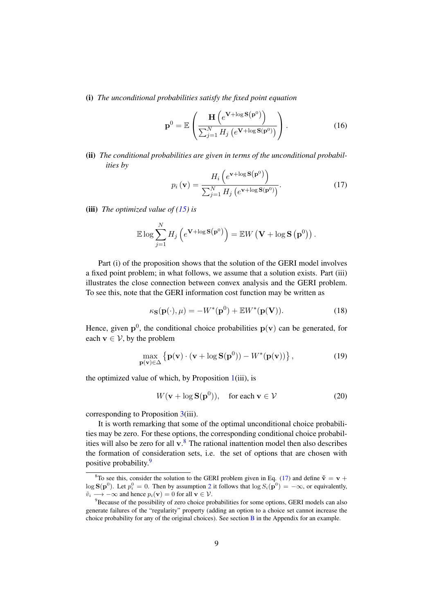(i) *The unconditional probabilities satisfy the fixed point equation*

$$
\mathbf{p}^{0} = \mathbb{E}\left(\frac{\mathbf{H}\left(e^{\mathbf{V}+\log \mathbf{S}\left(\mathbf{p}^{0}\right)}\right)}{\sum_{j=1}^{N} H_{j}\left(e^{\mathbf{V}+\log \mathbf{S}\left(\mathbf{p}^{0}\right)}\right)}\right).
$$
(16)

(ii) The conditional probabilities are given in terms of the unconditional probabil*ities by*

$$
p_i\left(\mathbf{v}\right) = \frac{H_i\left(e^{\mathbf{v} + \log \mathbf{S}\left(\mathbf{p}^0\right)}\right)}{\sum_{j=1}^N H_j\left(e^{\mathbf{v} + \log \mathbf{S}\left(\mathbf{p}^0\right)}\right)}.\tag{17}
$$

(iii) *The optimized value of (15) is*

$$
\mathbb{E}\log\sum_{j=1}^N H_j\left(e^{\mathbf{V}+\log\mathbf{S}(\mathbf{p}^0)}\right)=\mathbb{E}W\left(\mathbf{V}+\log\mathbf{S}\left(\mathbf{p}^0\right)\right).
$$

Part (i) of the proposition shows that the solution of the GERI model involves a fixed point problem; in what follows, we assume that a solution exists. Part (iii) illustrates the close connection between convex analysis and the GERI problem. To see this, note that the GERI information cost function may be written as

$$
\kappa_{\mathbf{S}}(\mathbf{p}(\cdot),\mu) = -W^*(\mathbf{p}^0) + \mathbb{E}W^*(\mathbf{p}(\mathbf{V})).
$$
\n(18)

Hence, given  $p^0$ , the conditional choice probabilities  $p(v)$  can be generated, for each  $\mathbf{v} \in \mathcal{V}$ , by the problem

$$
\max_{\mathbf{p}(\mathbf{v}) \in \Delta} \left\{ \mathbf{p}(\mathbf{v}) \cdot (\mathbf{v} + \log \mathbf{S}(\mathbf{p}^0)) - W^*(\mathbf{p}(\mathbf{v})) \right\},\tag{19}
$$

the optimized value of which, by Proposition  $1(iii)$ , is

$$
W(\mathbf{v} + \log \mathbf{S}(\mathbf{p}^0)), \quad \text{for each } \mathbf{v} \in \mathcal{V}
$$
 (20)

corresponding to Proposition 3(iii).

It is worth remarking that some of the optimal unconditional choice probabilities may be zero. For these options, the corresponding conditional choice probabilities will also be zero for all  $v$ .<sup>8</sup> The rational inattention model then also describes the formation of consideration sets, i.e. the set of options that are chosen with positive probability.<sup>9</sup>

<sup>&</sup>lt;sup>8</sup>To see this, consider the solution to the GERI problem given in Eq. (17) and define  $\tilde{\mathbf{v}} = \mathbf{v} + \mathbf{v}$  $\log S(\mathbf{p}^0)$ . Let  $p_i^0 = 0$ . Then by assumption 2 it follows that  $\log S_i(\mathbf{p}^0) = -\infty$ , or equivalently,  $\tilde{v}_i \longrightarrow -\infty$  and hence  $p_i(\mathbf{v}) = 0$  for all  $\mathbf{v} \in \mathcal{V}$ .

<sup>&</sup>lt;sup>9</sup>Because of the possibility of zero choice probabilities for some options, GERI models can also generate failures of the "regularity" property (adding an option to a choice set cannot increase the choice probability for any of the original choices). See section B in the Appendix for an example.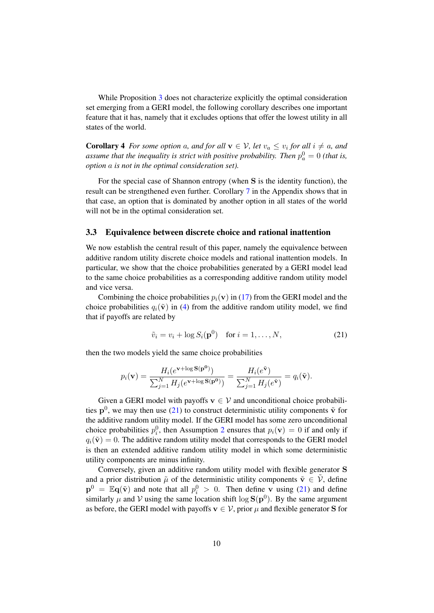While Proposition 3 does not characterize explicitly the optimal consideration set emerging from a GERI model, the following corollary describes one important feature that it has, namely that it excludes options that offer the lowest utility in all states of the world.

**Corollary 4** For some option a, and for all  $\mathbf{v} \in \mathcal{V}$ , let  $v_a \leq v_i$  for all  $i \neq a$ , and assume that the inequality is strict with positive probability. Then  $p_a^0 = 0$  (that is, *option* a *is not in the optimal consideration set).*

For the special case of Shannon entropy (when S is the identity function), the result can be strengthened even further. Corollary 7 in the Appendix shows that in that case, an option that is dominated by another option in all states of the world will not be in the optimal consideration set.

#### 3.3 Equivalence between discrete choice and rational inattention

We now establish the central result of this paper, namely the equivalence between additive random utility discrete choice models and rational inattention models. In particular, we show that the choice probabilities generated by a GERI model lead to the same choice probabilities as a corresponding additive random utility model and vice versa.

Combining the choice probabilities  $p_i(\mathbf{v})$  in (17) from the GERI model and the choice probabilities  $q_i(\tilde{\mathbf{v}})$  in (4) from the additive random utility model, we find that if payoffs are related by

$$
\tilde{v}_i = v_i + \log S_i(\mathbf{p}^0) \quad \text{for } i = 1, \dots, N,
$$
\n(21)

then the two models yield the same choice probabilities

$$
p_i(\mathbf{v}) = \frac{H_i(e^{\mathbf{v} + \log \mathbf{S}(\mathbf{p^0})})}{\sum_{j=1}^N H_j(e^{\mathbf{v} + \log \mathbf{S}(\mathbf{p^0})})} = \frac{H_i(e^{\tilde{\mathbf{v}}})}{\sum_{j=1}^N H_j(e^{\tilde{\mathbf{v}}})} = q_i(\tilde{\mathbf{v}}).
$$

Given a GERI model with payoffs  $\mathbf{v} \in \mathcal{V}$  and unconditional choice probabilities  $p^0$ , we may then use (21) to construct deterministic utility components  $\tilde{v}$  for the additive random utility model. If the GERI model has some zero unconditional choice probabilities  $p_i^0$ , then Assumption 2 ensures that  $p_i(\mathbf{v}) = 0$  if and only if  $q_i(\tilde{\mathbf{v}}) = 0$ . The additive random utility model that corresponds to the GERI model is then an extended additive random utility model in which some deterministic utility components are minus infinity.

Conversely, given an additive random utility model with flexible generator S and a prior distribution  $\tilde{\mu}$  of the deterministic utility components  $\tilde{\mathbf{v}} \in \mathcal{V}$ , define  $\mathbf{p}^0 = \mathbb{E} \mathbf{q}(\tilde{\mathbf{v}})$  and note that all  $p_i^0 > 0$ . Then define v using (21) and define similarly  $\mu$  and  $\mathcal V$  using the same location shift  $\log S(p^0)$ . By the same argument as before, the GERI model with payoffs  $v \in V$ , prior  $\mu$  and flexible generator S for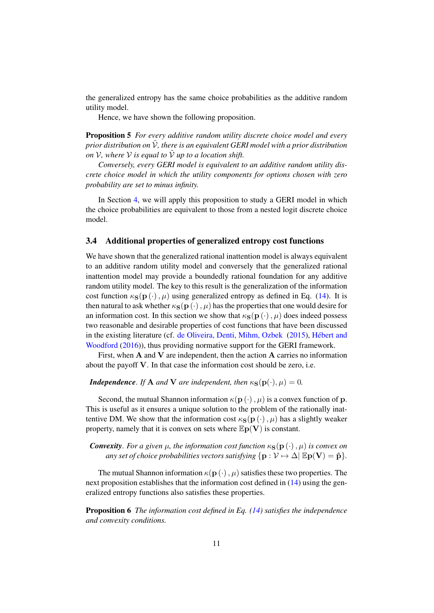the generalized entropy has the same choice probabilities as the additive random utility model.

Hence, we have shown the following proposition.

Proposition 5 *For every additive random utility discrete choice model and every prior distribution on* V, there is an equivalent GERI model with a prior distribution *on*  $V$ *, where*  $V$  *is equal to*  $\tilde{V}$  *up to a location shift.* 

*Conversely, every GERI model is equivalent to an additive random utility discrete choice model in which the utility components for options chosen with zero probability are set to minus infinity.*

In Section 4, we will apply this proposition to study a GERI model in which the choice probabilities are equivalent to those from a nested logit discrete choice model.

#### 3.4 Additional properties of generalized entropy cost functions

We have shown that the generalized rational inattention model is always equivalent to an additive random utility model and conversely that the generalized rational inattention model may provide a boundedly rational foundation for any additive random utility model. The key to this result is the generalization of the information cost function  $\kappa_{\mathbf{S}}(\mathbf{p}(\cdot), \mu)$  using generalized entropy as defined in Eq. (14). It is then natural to ask whether  $\kappa_{\mathbf{S}}(\mathbf{p}(\cdot), \mu)$  has the properties that one would desire for an information cost. In this section we show that  $\kappa_{\mathbf{S}}(\mathbf{p}(\cdot), \mu)$  does indeed possess two reasonable and desirable properties of cost functions that have been discussed in the existing literature (cf. de Oliveira, Denti, Mihm, Ozbek (2015), Hebert and ´ Woodford (2016)), thus providing normative support for the GERI framework.

First, when  $A$  and  $V$  are independent, then the action  $A$  carries no information about the payoff V. In that case the information cost should be zero, i.e.

#### *Independence. If* **A** *and* **V** *are independent, then*  $\kappa_{\mathbf{S}}(\mathbf{p}(\cdot), \mu) = 0$ *.*

Second, the mutual Shannon information  $\kappa(\mathbf{p}(\cdot), \mu)$  is a convex function of p. This is useful as it ensures a unique solution to the problem of the rationally inattentive DM. We show that the information cost  $\kappa_{\mathbf{S}}(\mathbf{p}(\cdot), \mu)$  has a slightly weaker property, namely that it is convex on sets where  $\mathbb{E} \mathbf{p}(\mathbf{V})$  is constant.

*Convexity. For a given*  $\mu$ *, the information cost function*  $\kappa_{\mathbf{S}}(\mathbf{p}(\cdot), \mu)$  *is convex on any set of choice probabilities vectors satisfying*  $\{ \mathbf{p} : \mathcal{V} \mapsto \Delta \mid \mathbb{E} \mathbf{p}(\mathbf{V}) = \hat{\mathbf{p}} \}.$ 

The mutual Shannon information  $\kappa(\mathbf{p}(\cdot), \mu)$  satisfies these two properties. The next proposition establishes that the information cost defined in (14) using the generalized entropy functions also satisfies these properties.

Proposition 6 *The information cost defined in Eq. (14) satisfies the independence and convexity conditions.*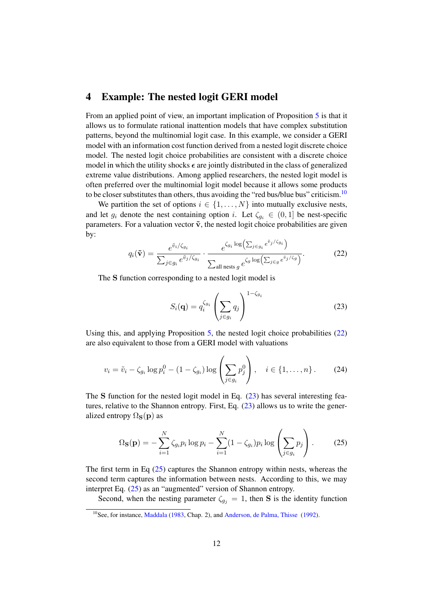## 4 Example: The nested logit GERI model

From an applied point of view, an important implication of Proposition 5 is that it allows us to formulate rational inattention models that have complex substitution patterns, beyond the multinomial logit case. In this example, we consider a GERI model with an information cost function derived from a nested logit discrete choice model. The nested logit choice probabilities are consistent with a discrete choice model in which the utility shocks  $\epsilon$  are jointly distributed in the class of generalized extreme value distributions. Among applied researchers, the nested logit model is often preferred over the multinomial logit model because it allows some products to be closer substitutes than others, thus avoiding the "red bus/blue bus" criticism. $10$ 

We partition the set of options  $i \in \{1, \ldots, N\}$  into mutually exclusive nests, and let  $g_i$  denote the nest containing option i. Let  $\zeta_{g_i} \in (0,1]$  be nest-specific parameters. For a valuation vector  $\tilde{v}$ , the nested logit choice probabilities are given by:

$$
q_i(\tilde{\mathbf{v}}) = \frac{e^{\tilde{v}_i/\zeta_{g_i}}}{\sum_{j \in g_i} e^{\tilde{v}_j/\zeta_{g_i}}} \cdot \frac{e^{\zeta_{g_i} \log\left(\sum_{j \in g_i} e^{\tilde{v}_j/\zeta_{g_i}}\right)}}{\sum_{\text{all nests } g} e^{\zeta_g \log\left(\sum_{j \in g} e^{\tilde{v}_j/\zeta_{g}}\right)}}.
$$
(22)

The S function corresponding to a nested logit model is

$$
S_i(\mathbf{q}) = q_i^{\zeta_{g_i}} \left( \sum_{j \in g_i} q_j \right)^{1 - \zeta_{g_i}} \tag{23}
$$

Using this, and applying Proposition 5, the nested logit choice probabilities (22) are also equivalent to those from a GERI model with valuations

$$
v_i = \tilde{v}_i - \zeta_{g_i} \log p_i^0 - (1 - \zeta_{g_i}) \log \left( \sum_{j \in g_i} p_j^0 \right), \quad i \in \{1, ..., n\}.
$$
 (24)

The S function for the nested logit model in Eq.  $(23)$  has several interesting features, relative to the Shannon entropy. First, Eq. (23) allows us to write the generalized entropy  $\Omega$ <sub>S</sub>(p) as

$$
\Omega_{\mathbf{S}}(\mathbf{p}) = -\sum_{i=1}^{N} \zeta_{g_i} p_i \log p_i - \sum_{i=1}^{N} (1 - \zeta_{g_i}) p_i \log \left( \sum_{j \in g_i} p_j \right). \tag{25}
$$

The first term in Eq  $(25)$  captures the Shannon entropy within nests, whereas the second term captures the information between nests. According to this, we may interpret Eq. (25) as an "augmented" version of Shannon entropy.

Second, when the nesting parameter  $\zeta_{g_i} = 1$ , then S is the identity function

<sup>&</sup>lt;sup>10</sup>See, for instance, Maddala (1983, Chap. 2), and Anderson, de Palma, Thisse (1992).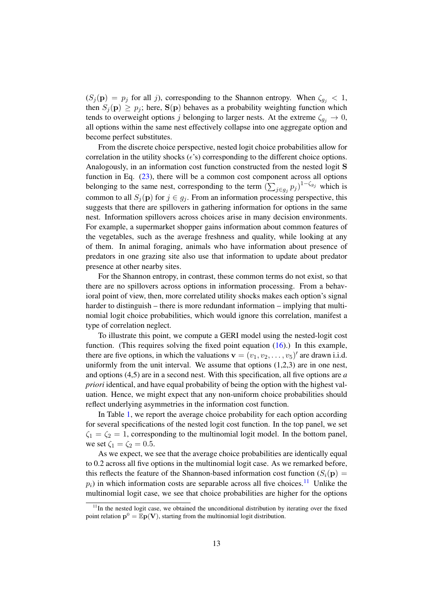$(S_j(\mathbf{p}) = p_j \text{ for all } j)$ , corresponding to the Shannon entropy. When  $\zeta_{g_i} < 1$ , then  $S_i(\mathbf{p}) \geq p_i$ ; here,  $S(\mathbf{p})$  behaves as a probability weighting function which tends to overweight options j belonging to larger nests. At the extreme  $\zeta_{q_i} \to 0$ , all options within the same nest effectively collapse into one aggregate option and become perfect substitutes.

From the discrete choice perspective, nested logit choice probabilities allow for correlation in the utility shocks  $(\epsilon's)$  corresponding to the different choice options. Analogously, in an information cost function constructed from the nested logit S function in Eq. (23), there will be a common cost component across all options belonging to the same nest, corresponding to the term  $(\sum_{j\in g_j} p_j)^{1-\zeta_{g_j}}$  which is common to all  $S_i(\mathbf{p})$  for  $j \in g_j$ . From an information processing perspective, this suggests that there are spillovers in gathering information for options in the same nest. Information spillovers across choices arise in many decision environments. For example, a supermarket shopper gains information about common features of the vegetables, such as the average freshness and quality, while looking at any of them. In animal foraging, animals who have information about presence of predators in one grazing site also use that information to update about predator presence at other nearby sites.

For the Shannon entropy, in contrast, these common terms do not exist, so that there are no spillovers across options in information processing. From a behavioral point of view, then, more correlated utility shocks makes each option's signal harder to distinguish – there is more redundant information – implying that multinomial logit choice probabilities, which would ignore this correlation, manifest a type of correlation neglect.

To illustrate this point, we compute a GERI model using the nested-logit cost function. (This requires solving the fixed point equation (16).) In this example, there are five options, in which the valuations  $\mathbf{v} = (v_1, v_2, \dots, v_5)'$  are drawn i.i.d. uniformly from the unit interval. We assume that options  $(1,2,3)$  are in one nest, and options (4,5) are in a second nest. With this specification, all five options are *a priori* identical, and have equal probability of being the option with the highest valuation. Hence, we might expect that any non-uniform choice probabilities should reflect underlying asymmetries in the information cost function.

In Table 1, we report the average choice probability for each option according for several specifications of the nested logit cost function. In the top panel, we set  $\zeta_1 = \zeta_2 = 1$ , corresponding to the multinomial logit model. In the bottom panel, we set  $\zeta_1 = \zeta_2 = 0.5$ .

As we expect, we see that the average choice probabilities are identically equal to 0.2 across all five options in the multinomial logit case. As we remarked before, this reflects the feature of the Shannon-based information cost function  $(S_i(\mathbf{p}) =$  $p_i$ ) in which information costs are separable across all five choices.<sup>11</sup> Unlike the multinomial logit case, we see that choice probabilities are higher for the options

 $11$ In the nested logit case, we obtained the unconditional distribution by iterating over the fixed point relation  $\mathbf{p}^0 = \mathbb{E} \mathbf{p}(\mathbf{V})$ , starting from the multinomial logit distribution.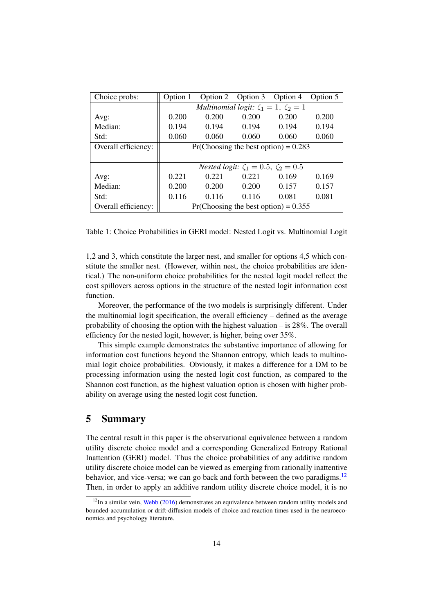| Choice probs:       | Option 1                                               |       | Option 2 Option 3 Option 4 |       | Option 5 |  |  |
|---------------------|--------------------------------------------------------|-------|----------------------------|-------|----------|--|--|
|                     | Multinomial logit: $\zeta_1 = 1$ , $\zeta_2 = 1$       |       |                            |       |          |  |  |
| Avg:                | 0.200                                                  | 0.200 | 0.200                      | 0.200 | 0.200    |  |  |
| Median:             | 0.194                                                  | 0.194 | 0.194                      | 0.194 | 0.194    |  |  |
| Std:                | 0.060                                                  | 0.060 | 0.060                      | 0.060 | 0.060    |  |  |
| Overall efficiency: | $Pr(Choosing the best option) = 0.283$                 |       |                            |       |          |  |  |
|                     |                                                        |       |                            |       |          |  |  |
|                     | <i>Nested logit:</i> $\zeta_1 = 0.5$ , $\zeta_2 = 0.5$ |       |                            |       |          |  |  |
| Avg:                | 0.221                                                  | 0.221 | 0.221                      | 0.169 | 0.169    |  |  |
| Median:             | 0.200                                                  | 0.200 | 0.200                      | 0.157 | 0.157    |  |  |
| Std:                | 0.116                                                  | 0.116 | 0.116                      | 0.081 | 0.081    |  |  |
| Overall efficiency: | $Pr(Choosing the best option) = 0.355$                 |       |                            |       |          |  |  |

Table 1: Choice Probabilities in GERI model: Nested Logit vs. Multinomial Logit

1,2 and 3, which constitute the larger nest, and smaller for options 4,5 which constitute the smaller nest. (However, within nest, the choice probabilities are identical.) The non-uniform choice probabilities for the nested logit model reflect the cost spillovers across options in the structure of the nested logit information cost function.

Moreover, the performance of the two models is surprisingly different. Under the multinomial logit specification, the overall efficiency – defined as the average probability of choosing the option with the highest valuation – is 28%. The overall efficiency for the nested logit, however, is higher, being over 35%.

This simple example demonstrates the substantive importance of allowing for information cost functions beyond the Shannon entropy, which leads to multinomial logit choice probabilities. Obviously, it makes a difference for a DM to be processing information using the nested logit cost function, as compared to the Shannon cost function, as the highest valuation option is chosen with higher probability on average using the nested logit cost function.

## 5 Summary

The central result in this paper is the observational equivalence between a random utility discrete choice model and a corresponding Generalized Entropy Rational Inattention (GERI) model. Thus the choice probabilities of any additive random utility discrete choice model can be viewed as emerging from rationally inattentive behavior, and vice-versa; we can go back and forth between the two paradigms.<sup>12</sup> Then, in order to apply an additive random utility discrete choice model, it is no

 $12$ In a similar vein, Webb (2016) demonstrates an equivalence between random utility models and bounded-accumulation or drift-diffusion models of choice and reaction times used in the neuroeconomics and psychology literature.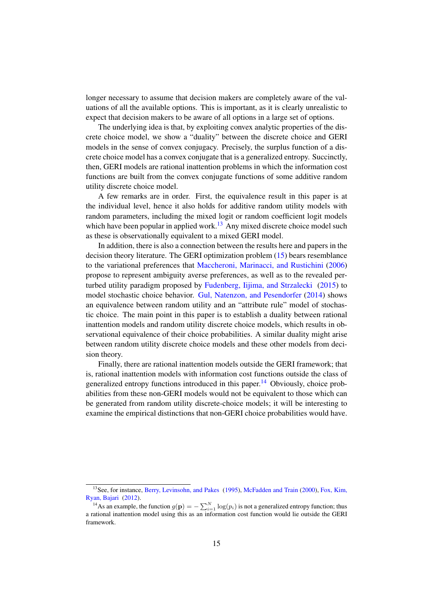longer necessary to assume that decision makers are completely aware of the valuations of all the available options. This is important, as it is clearly unrealistic to expect that decision makers to be aware of all options in a large set of options.

The underlying idea is that, by exploiting convex analytic properties of the discrete choice model, we show a "duality" between the discrete choice and GERI models in the sense of convex conjugacy. Precisely, the surplus function of a discrete choice model has a convex conjugate that is a generalized entropy. Succinctly, then, GERI models are rational inattention problems in which the information cost functions are built from the convex conjugate functions of some additive random utility discrete choice model.

A few remarks are in order. First, the equivalence result in this paper is at the individual level, hence it also holds for additive random utility models with random parameters, including the mixed logit or random coefficient logit models which have been popular in applied work.<sup>13</sup> Any mixed discrete choice model such as these is observationally equivalent to a mixed GERI model.

In addition, there is also a connection between the results here and papers in the decision theory literature. The GERI optimization problem (15) bears resemblance to the variational preferences that Maccheroni, Marinacci, and Rustichini (2006) propose to represent ambiguity averse preferences, as well as to the revealed perturbed utility paradigm proposed by Fudenberg, Iijima, and Strzalecki (2015) to model stochastic choice behavior. Gul, Natenzon, and Pesendorfer (2014) shows an equivalence between random utility and an "attribute rule" model of stochastic choice. The main point in this paper is to establish a duality between rational inattention models and random utility discrete choice models, which results in observational equivalence of their choice probabilities. A similar duality might arise between random utility discrete choice models and these other models from decision theory.

Finally, there are rational inattention models outside the GERI framework; that is, rational inattention models with information cost functions outside the class of generalized entropy functions introduced in this paper.<sup>14</sup> Obviously, choice probabilities from these non-GERI models would not be equivalent to those which can be generated from random utility discrete-choice models; it will be interesting to examine the empirical distinctions that non-GERI choice probabilities would have.

<sup>&</sup>lt;sup>13</sup>See, for instance, Berry, Levinsohn, and Pakes (1995), McFadden and Train (2000), Fox, Kim, Ryan, Bajari (2012).

<sup>&</sup>lt;sup>14</sup>As an example, the function  $g(\mathbf{p}) = -\sum_{i=1}^{N} \log(p_i)$  is not a generalized entropy function; thus a rational inattention model using this as an information cost function would lie outside the GERI framework.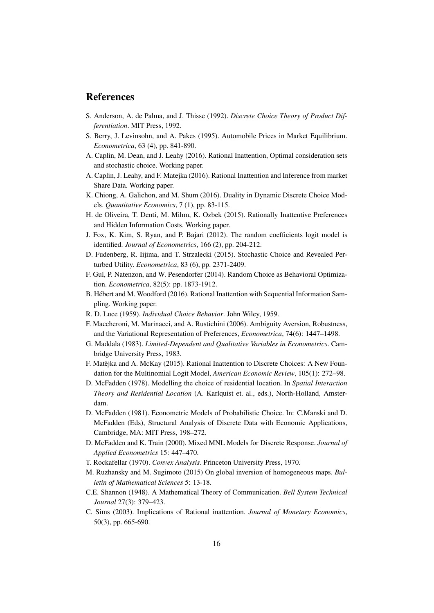### References

- S. Anderson, A. de Palma, and J. Thisse (1992). *Discrete Choice Theory of Product Differentiation*. MIT Press, 1992.
- S. Berry, J. Levinsohn, and A. Pakes (1995). Automobile Prices in Market Equilibrium. *Econometrica*, 63 (4), pp. 841-890.
- A. Caplin, M. Dean, and J. Leahy (2016). Rational Inattention, Optimal consideration sets and stochastic choice. Working paper.
- A. Caplin, J. Leahy, and F. Matejka (2016). Rational Inattention and Inference from market Share Data. Working paper.
- K. Chiong, A. Galichon, and M. Shum (2016). Duality in Dynamic Discrete Choice Models. *Quantitative Economics*, 7 (1), pp. 83-115.
- H. de Oliveira, T. Denti, M. Mihm, K. Ozbek (2015). Rationally Inattentive Preferences and Hidden Information Costs. Working paper.
- J. Fox, K. Kim, S. Ryan, and P. Bajari (2012). The random coefficients logit model is identified. *Journal of Econometrics*, 166 (2), pp. 204-212.
- D. Fudenberg, R. Iijima, and T. Strzalecki (2015). Stochastic Choice and Revealed Perturbed Utility. *Econometrica*, 83 (6), pp. 2371-2409.
- F. Gul, P. Natenzon, and W. Pesendorfer (2014). Random Choice as Behavioral Optimization. *Econometrica*, 82(5): pp. 1873-1912.
- B. Hebert and M. Woodford (2016). Rational Inattention with Sequential Information Sam- ´ pling. Working paper.
- R. D. Luce (1959). *Individual Choice Behavior*. John Wiley, 1959.
- F. Maccheroni, M. Marinacci, and A. Rustichini (2006). Ambiguity Aversion, Robustness, and the Variational Representation of Preferences, *Econometrica*, 74(6): 1447–1498.
- G. Maddala (1983). *Limited-Dependent and Qualitative Variables in Econometrics*. Cambridge University Press, 1983.
- F. Matêjka and A. McKay (2015). Rational Inattention to Discrete Choices: A New Foundation for the Multinomial Logit Model, *American Economic Review*, 105(1): 272–98.
- D. McFadden (1978). Modelling the choice of residential location. In *Spatial Interaction Theory and Residential Location* (A. Karlquist et. al., eds.), North-Holland, Amsterdam.
- D. McFadden (1981). Econometric Models of Probabilistic Choice. In: C.Manski and D. McFadden (Eds), Structural Analysis of Discrete Data with Economic Applications, Cambridge, MA: MIT Press, 198–272.
- D. McFadden and K. Train (2000). Mixed MNL Models for Discrete Response. *Journal of Applied Econometrics* 15: 447–470.
- T. Rockafellar (1970). *Convex Analysis*. Princeton University Press, 1970.
- M. Ruzhansky and M. Sugimoto (2015) On global inversion of homogeneous maps. *Bulletin of Mathematical Sciences* 5: 13-18.
- C.E. Shannon (1948). A Mathematical Theory of Communication. *Bell System Technical Journal* 27(3): 379–423.
- C. Sims (2003). Implications of Rational inattention. *Journal of Monetary Economics*, 50(3), pp. 665-690.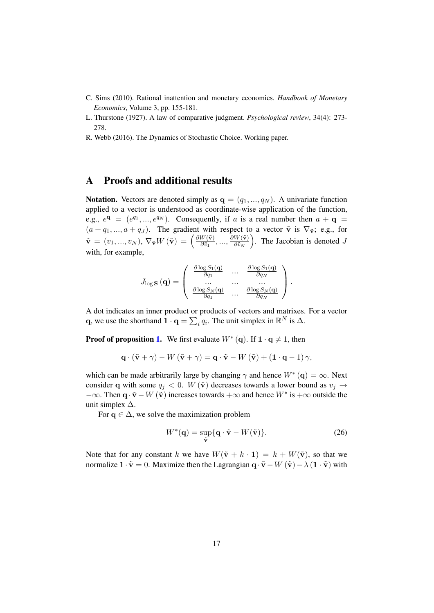- C. Sims (2010). Rational inattention and monetary economics. *Handbook of Monetary Economics*, Volume 3, pp. 155-181.
- L. Thurstone (1927). A law of comparative judgment. *Psychological review*, 34(4): 273- 278.
- R. Webb (2016). The Dynamics of Stochastic Choice. Working paper.

## A Proofs and additional results

Notation. Vectors are denoted simply as  $\mathbf{q} = (q_1, ..., q_N)$ . A univariate function applied to a vector is understood as coordinate-wise application of the function, e.g.,  $e^{\mathbf{q}} = (e^{q_1}, ..., e^{q_N})$ . Consequently, if a is a real number then  $a + \mathbf{q} =$  $(a + q_1, ..., a + q_J)$ . The gradient with respect to a vector  $\tilde{v}$  is  $\nabla_{\tilde{v}}$ ; e.g., for  $\tilde{\textbf{v}} \,=\, (v_1,...,v_N), \, \nabla_{\tilde{\textbf{v}}} W \left( \tilde{\textbf{v}} \right) \,=\, \Big( \frac{\partial W(\tilde{\textbf{v}})}{\partial \tilde{v}_1} \Big)$  $\frac{\partial W(\mathbf{\tilde{v}})}{\partial \tilde{v}_1},...,\frac{\partial W(\mathbf{\tilde{v}})}{\partial \tilde{v}_N}$  $\left(\frac{W(\tilde{\mathbf{v}})}{\partial \tilde{v}_N}\right)$ . The Jacobian is denoted J with, for example,

$$
J_{\log \mathbf{S}}(\mathbf{q}) = \begin{pmatrix} \frac{\partial \log S_1(\mathbf{q})}{\partial q_1} & \cdots & \frac{\partial \log S_1(\mathbf{q})}{\partial q_N} \\ \cdots & \cdots & \cdots \\ \frac{\partial \log S_N(\mathbf{q})}{\partial q_1} & \cdots & \frac{\partial \log S_N(\mathbf{q})}{\partial q_N} \end{pmatrix}.
$$

A dot indicates an inner product or products of vectors and matrixes. For a vector q, we use the shorthand  $\mathbf{1} \cdot \mathbf{q} = \sum_i q_i$ . The unit simplex in  $\mathbb{R}^N$  is  $\Delta$ .

**Proof of proposition 1.** We first evaluate  $W^*({\bf q})$ . If  ${\bf 1} \cdot {\bf q} \neq 1$ , then

$$
\mathbf{q} \cdot (\tilde{\mathbf{v}} + \gamma) - W(\tilde{\mathbf{v}} + \gamma) = \mathbf{q} \cdot \tilde{\mathbf{v}} - W(\tilde{\mathbf{v}}) + (1 \cdot \mathbf{q} - 1) \gamma,
$$

which can be made arbitrarily large by changing  $\gamma$  and hence  $W^*({\bf q}) = \infty$ . Next consider q with some  $q_i < 0$ . W  $(\tilde{v})$  decreases towards a lower bound as  $v_i \rightarrow$  $-\infty$ . Then  $\mathbf{q} \cdot \tilde{\mathbf{v}} - W(\tilde{\mathbf{v}})$  increases towards  $+\infty$  and hence  $W^*$  is  $+\infty$  outside the unit simplex  $\Delta$ .

For  $q \in \Delta$ , we solve the maximization problem

$$
W^*(\mathbf{q}) = \sup_{\tilde{\mathbf{v}}} \{ \mathbf{q} \cdot \tilde{\mathbf{v}} - W(\tilde{\mathbf{v}}) \}.
$$
 (26)

Note that for any constant k we have  $W(\tilde{v} + k \cdot 1) = k + W(\tilde{v})$ , so that we normalize  $1 \cdot \tilde{v} = 0$ . Maximize then the Lagrangian  $q \cdot \tilde{v} - W(\tilde{v}) - \lambda (1 \cdot \tilde{v})$  with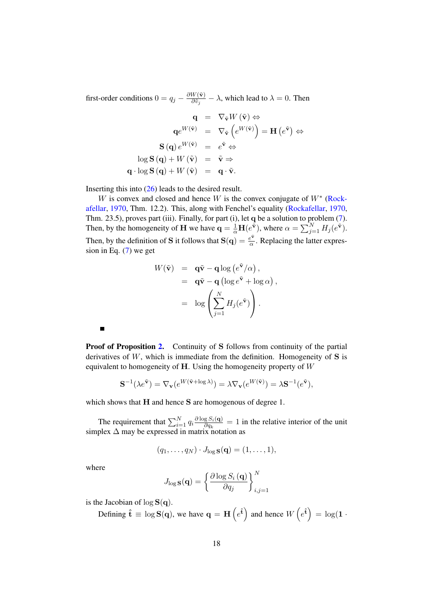first-order conditions  $0 = q_j - \frac{\partial W(\tilde{\mathbf{v}})}{\partial \tilde{v}_j}$  $\frac{\partial W(\mathbf{V})}{\partial \tilde{v}_j} - \lambda$ , which lead to  $\lambda = 0$ . Then

$$
\mathbf{q} = \nabla_{\tilde{\mathbf{v}}} W(\tilde{\mathbf{v}}) \Leftrightarrow \n\mathbf{q}e^{W(\tilde{\mathbf{v}})} = \nabla_{\tilde{\mathbf{v}}}\left(e^{W(\tilde{\mathbf{v}})}\right) = \mathbf{H}\left(e^{\tilde{\mathbf{v}}}\right) \Leftrightarrow \n\mathbf{S}(\mathbf{q}) e^{W(\tilde{\mathbf{v}})} = e^{\tilde{\mathbf{v}}} \Leftrightarrow \n\log \mathbf{S}(\mathbf{q}) + W(\tilde{\mathbf{v}}) = \tilde{\mathbf{v}} \Rightarrow \n\mathbf{q} \cdot \log \mathbf{S}(\mathbf{q}) + W(\tilde{\mathbf{v}}) = \mathbf{q} \cdot \tilde{\mathbf{v}}.
$$

Inserting this into (26) leads to the desired result.

W is convex and closed and hence W is the convex conjugate of  $W^*$  (Rockafellar, 1970, Thm. 12.2). This, along with Fenchel's equality (Rockafellar, 1970, Thm. 23.5), proves part (iii). Finally, for part (i), let q be a solution to problem (7). Then, by the homogeneity of **H** we have  $\mathbf{q} = \frac{1}{\alpha} \mathbf{H}(e^{\tilde{\mathbf{v}}})$ , where  $\alpha = \sum_{j=1}^{N} H_j(e^{\tilde{\mathbf{v}}})$ . Then, by the definition of S it follows that  $S(q) = \frac{e^{\tilde{Y}}}{q}$  $\frac{e^{2}}{\alpha}$ . Replacing the latter expression in Eq. (7) we get

$$
W(\tilde{\mathbf{v}}) = \mathbf{q}\tilde{\mathbf{v}} - \mathbf{q}\log(e^{\tilde{\mathbf{v}}}/\alpha),
$$
  
=  $\mathbf{q}\tilde{\mathbf{v}} - \mathbf{q}(\log e^{\tilde{\mathbf{v}}} + \log \alpha),$   
=  $\log\left(\sum_{j=1}^{N} H_j(e^{\tilde{\mathbf{v}}})\right).$ 

**Proof of Proposition 2.** Continuity of S follows from continuity of the partial derivatives of  $W$ , which is immediate from the definition. Homogeneity of  $S$  is equivalent to homogeneity of  $H$ . Using the homogeneity property of  $W$ 

$$
\mathbf{S}^{-1}(\lambda e^{\tilde{\mathbf{v}}}) = \nabla_{\mathbf{v}}(e^{W(\tilde{\mathbf{v}} + \log \lambda)}) = \lambda \nabla_{\mathbf{v}}(e^{W(\tilde{\mathbf{v}})}) = \lambda \mathbf{S}^{-1}(e^{\tilde{\mathbf{v}}}),
$$

which shows that **H** and hence **S** are homogenous of degree 1.

The requirement that  $\sum_{i=1}^{N} q_i \frac{\partial \log S_i(\mathbf{q})}{\partial q_k}$  $\frac{\partial g S_i(\mathbf{q})}{\partial q_k} = 1$  in the relative interior of the unit simplex  $\Delta$  may be expressed in matrix notation as

$$
(q_1,\ldots,q_N)\cdot J_{\log \mathbf{S}}(\mathbf{q})=(1,\ldots,1),
$$

where

 $\blacksquare$ 

$$
J_{\log {\bf S}}({\bf q}) = \left\{\frac{\partial \log S_i\left({\bf q}\right)}{\partial q_j}\right\}_{i,j=1}^N
$$

is the Jacobian of  $\log S(q)$ .

Defining  $\mathbf{\hat{t}} \equiv \log \mathbf{S}(\mathbf{q})$ , we have  $\mathbf{q} = \mathbf{H} \left( e^{\hat{\mathbf{t}}} \right)$  and hence  $W \left( e^{\hat{\mathbf{t}}} \right) = \log(1 + \mathbf{R})$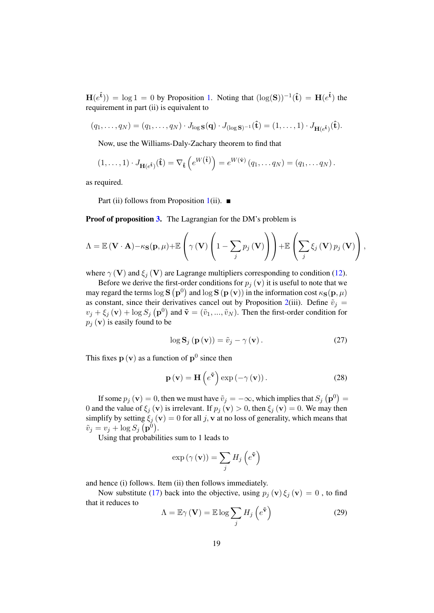$H(e^{\hat{\mathbf{t}}})$  = log 1 = 0 by Proposition 1. Noting that  $(\log(S))^{-1}(\hat{\mathbf{t}}) = H(e^{\hat{\mathbf{t}}})$  the requirement in part (ii) is equivalent to

$$
(q_1,\ldots,q_N)=(q_1,\ldots,q_N)\cdot J_{\log \mathbf{S}}(\mathbf{q})\cdot J_{(\log \mathbf{S})^{-1}}(\mathbf{\hat{t}})=(1,\ldots,1)\cdot J_{\mathbf{H}(e^{\mathbf{\hat{t}}})}(\mathbf{\hat{t}}).
$$

Now, use the Williams-Daly-Zachary theorem to find that

$$
(1,\ldots,1)\cdot J_{\mathbf{H}(e^{\hat{\mathbf{t}}})}(\hat{\mathbf{t}})=\nabla_{\hat{\mathbf{t}}}\left(e^{W(\hat{\mathbf{t}})}\right)=e^{W(\hat{\mathbf{v}})}(q_1,\ldots q_N)=(q_1,\ldots q_N).
$$

as required.

Part (ii) follows from Proposition 1(ii).  $\blacksquare$ 

**Proof of proposition 3.** The Lagrangian for the DM's problem is

$$
\Lambda = \mathbb{E}(\mathbf{V} \cdot \mathbf{A}) - \kappa_{\mathbf{S}}(\mathbf{p}, \mu) + \mathbb{E}\left(\gamma(\mathbf{V})\left(1 - \sum_{j} p_{j}(\mathbf{V})\right)\right) + \mathbb{E}\left(\sum_{j} \xi_{j}(\mathbf{V}) p_{j}(\mathbf{V})\right),
$$

where  $\gamma$  (V) and  $\xi_j$  (V) are Lagrange multipliers corresponding to condition (12).

Before we derive the first-order conditions for  $p_i$  (v) it is useful to note that we may regard the terms  $\log{\bf S}^1({\bf p}^0)$  and  $\log{\bf S}^1({\bf p}^1({\bf v}))$  in the information cost  $\kappa_{\bf S}({\bf p},\mu)$ as constant, since their derivatives cancel out by Proposition 2(iii). Define  $\tilde{v}_i$  =  $v_j + \xi_j(\mathbf{v}) + \log S_j(\mathbf{p}^0)$  and  $\tilde{\mathbf{v}} = (\tilde{v}_1, ..., \tilde{v}_N)$ . Then the first-order condition for  $p_i$  (v) is easily found to be

$$
\log \mathbf{S}_{j} \left( \mathbf{p} \left( \mathbf{v} \right) \right) = \tilde{v}_{j} - \gamma \left( \mathbf{v} \right). \tag{27}
$$

This fixes  $\mathbf{p}(\mathbf{v})$  as a function of  $\mathbf{p}^0$  since then

$$
\mathbf{p}\left(\mathbf{v}\right) = \mathbf{H}\left(e^{\tilde{\mathbf{v}}}\right) \exp\left(-\gamma\left(\mathbf{v}\right)\right). \tag{28}
$$

If some  $p_j\left(\mathbf{v}\right) = 0$ , then we must have  $\tilde{v}_j = -\infty$ , which implies that  $S_j\left(\mathbf{p}^0\right) = 0$ 0 and the value of  $\xi_j(\mathbf{v})$  is irrelevant. If  $p_j(\mathbf{v}) > 0$ , then  $\xi_j(\mathbf{v}) = 0$ . We may then simplify by setting  $\xi_j(\mathbf{v}) = 0$  for all j, v at no loss of generality, which means that  $\tilde{v}_j = v_j + \log S_j \; (\mathbf{p}^0).$ 

Using that probabilities sum to 1 leads to

$$
\exp\left(\gamma\left(\mathbf{v}\right)\right) = \sum_{j} H_{j}\left(e^{\tilde{\mathbf{v}}}\right)
$$

and hence (i) follows. Item (ii) then follows immediately.

Now substitute (17) back into the objective, using  $p_i(\mathbf{v}) \xi_i(\mathbf{v}) = 0$ , to find that it reduces to

$$
\Lambda = \mathbb{E}\gamma\left(\mathbf{V}\right) = \mathbb{E}\log\sum_{j} H_{j}\left(e^{\tilde{\mathbf{v}}}\right)
$$
\n(29)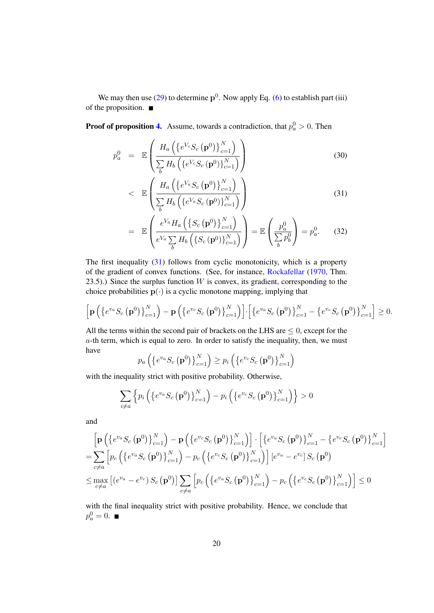We may then use (29) to determine  $p^0$ . Now apply Eq. (6) to establish part (iii) of the proposition.

**Proof of proposition 4.** Assume, towards a contradiction, that  $p_a^0 > 0$ . Then

$$
p_a^0 = \mathbb{E}\left(\frac{H_a\left(\{e^{V_c}S_c\left(\mathbf{p}^0\right)\}_{c=1}^N\right)}{\sum_b H_b\left(\{e^{V_c}S_c\left(\mathbf{p}^0\right)\}_{c=1}^N\right)}\right)
$$
(30)

$$
\left\langle \mathbb{E}\left(\frac{H_a\left(\left\{e^{V_a}S_c\left(\mathbf{p}^0\right)\right\}_{c=1}^N\right)}{\sum\limits_b H_b\left(\left\{e^{V_a}S_c\left(\mathbf{p}^0\right)\right\}_{c=1}^N\right)}\right)\right\}
$$
(31)

$$
= \mathbb{E}\left(\frac{e^{V_a}H_a\left(\left\{S_c\left(\mathbf{p}^0\right)\right\}_{c=1}^N\right)}{e^{V_a}\sum_b H_b\left(\left\{S_c\left(\mathbf{p}^0\right)\right\}_{c=1}^N\right)}\right) = \mathbb{E}\left(\frac{p_a^0}{\sum_b p_b^0}\right) = p_a^0. \tag{32}
$$

The first inequality (31) follows from cyclic monotonicity, which is a property of the gradient of convex functions. (See, for instance, Rockafellar (1970, Thm. 23.5).) Since the surplus function  $W$  is convex, its gradient, corresponding to the choice probabilities  $p(\cdot)$  is a cyclic monotone mapping, implying that

$$
\left[\mathbf{p}\left(\left\{e^{v_a}S_c\left(\mathbf{p}^0\right)\right\}_{c=1}^N\right)-\mathbf{p}\left(\left\{e^{v_c}S_c\left(\mathbf{p}^0\right)\right\}_{c=1}^N\right)\right]\cdot\left[\left\{e^{v_a}S_c\left(\mathbf{p}^0\right)\right\}_{c=1}^N-\left\{e^{v_c}S_c\left(\mathbf{p}^0\right)\right\}_{c=1}^N\right]\geq 0.
$$

All the terms within the second pair of brackets on the LHS are  $\leq 0$ , except for the a-th term, which is equal to zero. In order to satisfy the inequality, then, we must have

$$
p_a\left(\left\{e^{v_a}S_c\left(\mathbf{p}^0\right)\right\}_{c=1}^N\right)\geq p_i\left(\left\{e^{v_c}S_c\left(\mathbf{p}^0\right)\right\}_{c=1}^N\right)
$$

with the inequality strict with positive probability. Otherwise,

$$
\sum_{i \neq a} \left\{ p_i \left( \left\{ e^{v_a} S_c \left( \mathbf{p}^0 \right) \right\}_{c=1}^N \right) - p_i \left( \left\{ e^{v_c} S_c \left( \mathbf{p}^0 \right) \right\}_{c=1}^N \right) \right\} > 0
$$

and

$$
\begin{split}\n&\left[\mathbf{p}\left(\left\{e^{v_a}S_c\left(\mathbf{p}^0\right)\right\}_{c=1}^N\right)-\mathbf{p}\left(\left\{e^{v_c}S_c\left(\mathbf{p}^0\right)\right\}_{c=1}^N\right)\right]\cdot\left[\left\{e^{v_a}S_c\left(\mathbf{p}^0\right)\right\}_{c=1}^N-\left\{e^{v_c}S_c\left(\mathbf{p}^0\right)\right\}_{c=1}^N\right] \\
&=\sum_{c\neq a}\left[p_c\left(\left\{e^{v_a}S_c\left(\mathbf{p}^0\right)\right\}_{c=1}^N\right)-p_c\left(\left\{e^{v_c}S_c\left(\mathbf{p}^0\right)\right\}_{c=1}^N\right)\right]\left[e^{v_a}-e^{v_c}\right]S_c\left(\mathbf{p}^0\right) \\
&\leq \max_{c\neq a}\left[\left(e^{v_a}-e^{v_c}\right)S_c\left(\mathbf{p}^0\right)\right]\sum_{c\neq a}\left[p_c\left(\left\{e^{v_a}S_c\left(\mathbf{p}^0\right)\right\}_{c=1}^N\right)-p_c\left(\left\{e^{v_c}S_c\left(\mathbf{p}^0\right)\right\}_{c=1}^N\right)\right]\leq 0\n\end{split}
$$

with the final inequality strict with positive probability. Hence, we conclude that  $p_a^0 = 0.$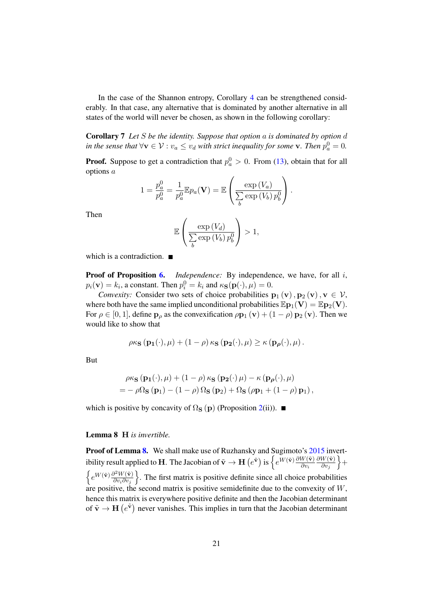In the case of the Shannon entropy, Corollary 4 can be strengthened considerably. In that case, any alternative that is dominated by another alternative in all states of the world will never be chosen, as shown in the following corollary:

Corollary 7 *Let* S *be the identity. Suppose that option* a *is dominated by option* d *in the sense that*  $\forall v \in V : v_a \leq v_d$  *with strict inequality for some*  $v$ *. Then*  $p_a^0 = 0$ *.* 

**Proof.** Suppose to get a contradiction that  $p_a^0 > 0$ . From (13), obtain that for all options a

$$
1 = \frac{p_a^0}{p_a^0} = \frac{1}{p_a^0} \mathbb{E} p_a(\mathbf{V}) = \mathbb{E} \left( \frac{\exp(V_a)}{\sum_b \exp(V_b) p_b^0} \right).
$$

Then

$$
\mathbb{E}\left(\frac{\exp\left(V_d\right)}{\sum_{b}\exp\left(V_b\right)p_b^0}\right) > 1,
$$

which is a contradiction.  $\blacksquare$ 

**Proof of Proposition 6.** *Independence:* By independence, we have, for all i,  $p_i(\mathbf{v}) = k_i$ , a constant. Then  $p_i^0 = k_i$  and  $\kappa_{\mathbf{S}}(\mathbf{p}(\cdot), \mu) = 0$ .

*Convexity:* Consider two sets of choice probabilities  $\mathbf{p}_1(\mathbf{v}), \mathbf{p}_2(\mathbf{v}), \mathbf{v} \in \mathcal{V}$ , where both have the same implied unconditional probabilities  $\mathbb{E} \mathbf{p}_1(\mathbf{V}) = \mathbb{E} \mathbf{p}_2(\mathbf{V})$ . For  $\rho \in [0, 1]$ , define  $\mathbf{p}_{\rho}$  as the convexification  $\rho \mathbf{p}_1(\mathbf{v}) + (1 - \rho) \mathbf{p}_2(\mathbf{v})$ . Then we would like to show that

$$
\rho \kappa_{\mathbf{S}}\left(\mathbf{p_1}(\cdot),\mu\right) + \left(1-\rho\right)\kappa_{\mathbf{S}}\left(\mathbf{p_2}(\cdot),\mu\right) \geq \kappa\left(\mathbf{p}_{\boldsymbol{\rho}}(\cdot),\mu\right).
$$

But

$$
\rho \kappa_{\mathbf{S}} (\mathbf{p}_1(\cdot), \mu) + (1 - \rho) \kappa_{\mathbf{S}} (\mathbf{p}_2(\cdot) \mu) - \kappa (\mathbf{p}_{\rho}(\cdot), \mu)
$$
  
= 
$$
- \rho \Omega_{\mathbf{S}} (\mathbf{p}_1) - (1 - \rho) \Omega_{\mathbf{S}} (\mathbf{p}_2) + \Omega_{\mathbf{S}} (\rho \mathbf{p}_1 + (1 - \rho) \mathbf{p}_1),
$$

which is positive by concavity of  $\Omega_{\mathbf{S}}(\mathbf{p})$  (Proposition 2(ii)).

#### Lemma 8 H *is invertible.*

Proof of Lemma 8. We shall make use of Ruzhansky and Sugimoto's 2015 invertibility result applied to **H**. The Jacobian of  $\tilde{\mathbf{v}} \to \mathbf{H}\left(e^{\tilde{\mathbf{v}}}\right)$  is  $\left\{e^{W\left(\tilde{\mathbf{v}}\right)} \frac{\partial W\left(\tilde{\mathbf{v}}\right)}{\partial v_i}\right\}$  $\partial W(\tilde{\mathbf{v}})$  $\left. \frac{W(\tilde{\mathbf{v}})}{\partial v_j} \right\} +$  $\Big\{ e^{W(\tilde{\mathbf{v}})} \frac{\partial^2 W(\tilde{\mathbf{v}})}{\partial v \cdot \partial v} \Big\}$  $\left(\frac{\partial^2 W(\tilde{\mathbf{v}})}{\partial v_i \partial v_j}\right)$ . The first matrix is positive definite since all choice probabilities are positive, the second matrix is positive semidefinite due to the convexity of W, hence this matrix is everywhere positive definite and then the Jacobian determinant of  $\tilde{\mathbf{v}} \to \mathbf{H}$   $(e^{\tilde{\mathbf{v}}})$  never vanishes. This implies in turn that the Jacobian determinant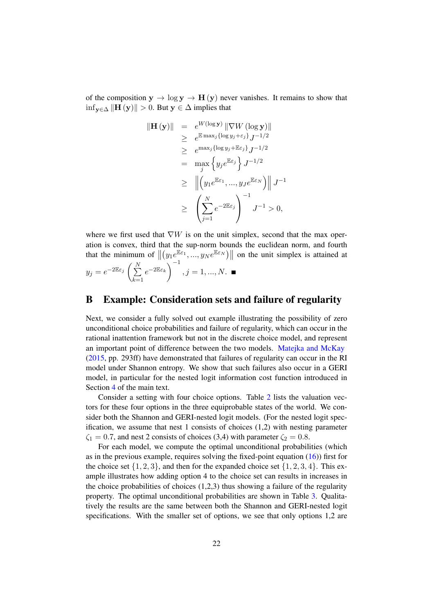of the composition  $y \to \log y \to H(y)$  never vanishes. It remains to show that  $\inf_{\mathbf{y}\in\Delta} \|\mathbf{H}(\mathbf{y})\| > 0$ . But  $\mathbf{y} \in \Delta$  implies that

$$
\|\mathbf{H}(\mathbf{y})\| = e^{W(\log \mathbf{y})} \|\nabla W(\log \mathbf{y})\|
$$
  
\n
$$
\geq e^{\mathbb{E} \max_j {\log y_j + \varepsilon_j} } J^{-1/2}
$$
  
\n
$$
\geq e^{\max_j {\log y_j + \mathbb{E} \varepsilon_j} } J^{-1/2}
$$
  
\n
$$
= \max_j \left\{ y_j e^{\mathbb{E} \varepsilon_j} \right\} J^{-1/2}
$$
  
\n
$$
\geq \left\| \left( y_1 e^{\mathbb{E} \varepsilon_1}, ..., y_J e^{\mathbb{E} \varepsilon_N} \right) \right\| J^{-1}
$$
  
\n
$$
\geq \left( \sum_{j=1}^N e^{-2\mathbb{E} \varepsilon_j} \right)^{-1} J^{-1} > 0,
$$

where we first used that  $\nabla W$  is on the unit simplex, second that the max operation is convex, third that the sup-norm bounds the euclidean norm, and fourth that the minimum of  $\|(y_1e^{\mathbb{E}\epsilon_1},...,y_Ne^{\mathbb{E}\epsilon_N})\|$  on the unit simplex is attained at

$$
y_j = e^{-2\mathbb{E}\varepsilon_j} \left(\sum_{k=1}^N e^{-2\mathbb{E}\varepsilon_k}\right)^{-1}, j = 1, ..., N. \blacksquare
$$

## B Example: Consideration sets and failure of regularity

Next, we consider a fully solved out example illustrating the possibility of zero unconditional choice probabilities and failure of regularity, which can occur in the rational inattention framework but not in the discrete choice model, and represent an important point of difference between the two models. Matejka and McKay (2015, pp. 293ff) have demonstrated that failures of regularity can occur in the RI model under Shannon entropy. We show that such failures also occur in a GERI model, in particular for the nested logit information cost function introduced in Section 4 of the main text.

Consider a setting with four choice options. Table 2 lists the valuation vectors for these four options in the three equiprobable states of the world. We consider both the Shannon and GERI-nested logit models. (For the nested logit specification, we assume that nest 1 consists of choices (1,2) with nesting parameter  $\zeta_1 = 0.7$ , and nest 2 consists of choices (3,4) with parameter  $\zeta_2 = 0.8$ .

For each model, we compute the optimal unconditional probabilities (which as in the previous example, requires solving the fixed-point equation (16)) first for the choice set  $\{1, 2, 3\}$ , and then for the expanded choice set  $\{1, 2, 3, 4\}$ . This example illustrates how adding option 4 to the choice set can results in increases in the choice probabilities of choices  $(1,2,3)$  thus showing a failure of the regularity property. The optimal unconditional probabilities are shown in Table 3. Qualitatively the results are the same between both the Shannon and GERI-nested logit specifications. With the smaller set of options, we see that only options 1,2 are